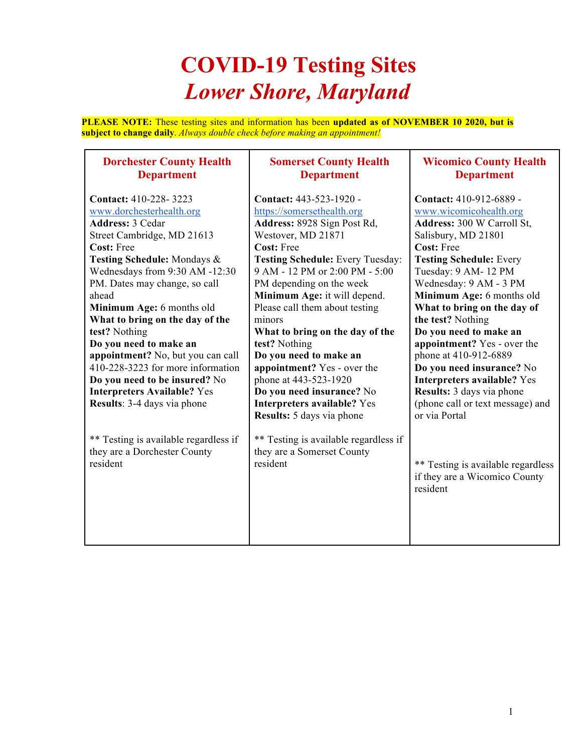## **COVID-19 Testing Sites** *Lower Shore, Maryland*

**PLEASE NOTE:** These testing sites and information has been **updated as of NOVEMBER 10 2020, but is subject to change daily**. *Always double check before making an appointment!* 

> **Somerset County Health Department**

## **Dorchester County Health Department**

| <b>Contact: 410-228-3223</b>          | Contact: 443-523-1920 -               | Contact: 410-912-6889 -            |
|---------------------------------------|---------------------------------------|------------------------------------|
| www.dorchesterhealth.org              | https://somersethealth.org            | www.wicomicohealth.org             |
| <b>Address: 3 Cedar</b>               | Address: 8928 Sign Post Rd,           | Address: 300 W Carroll St,         |
| Street Cambridge, MD 21613            | Westover, MD 21871                    | Salisbury, MD 21801                |
| Cost: Free                            | <b>Cost: Free</b>                     | <b>Cost: Free</b>                  |
| Testing Schedule: Mondays &           | Testing Schedule: Every Tuesday:      | <b>Testing Schedule: Every</b>     |
| Wednesdays from 9:30 AM -12:30        | 9 AM - 12 PM or 2:00 PM - 5:00        | Tuesday: 9 AM-12 PM                |
| PM. Dates may change, so call         | PM depending on the week              | Wednesday: 9 AM - 3 PM             |
| ahead                                 | Minimum Age: it will depend.          | Minimum Age: 6 months old          |
| Minimum Age: 6 months old             | Please call them about testing        | What to bring on the day of        |
| What to bring on the day of the       | minors                                | the test? Nothing                  |
| test? Nothing                         | What to bring on the day of the       | Do you need to make an             |
| Do you need to make an                | test? Nothing                         | appointment? Yes - over the        |
| appointment? No, but you can call     | Do you need to make an                | phone at 410-912-6889              |
| 410-228-3223 for more information     | appointment? Yes - over the           | Do you need insurance? No          |
| Do you need to be insured? No         | phone at 443-523-1920                 | Interpreters available? Yes        |
| <b>Interpreters Available? Yes</b>    | Do you need insurance? No             | Results: 3 days via phone          |
| <b>Results: 3-4 days via phone</b>    | Interpreters available? Yes           | (phone call or text message) and   |
|                                       | <b>Results:</b> 5 days via phone      | or via Portal                      |
|                                       |                                       |                                    |
| ** Testing is available regardless if | ** Testing is available regardless if |                                    |
| they are a Dorchester County          | they are a Somerset County            |                                    |
| resident                              | resident                              | ** Testing is available regardless |
|                                       |                                       | if they are a Wicomico County      |
|                                       |                                       | resident                           |
|                                       |                                       |                                    |
|                                       |                                       |                                    |
|                                       |                                       |                                    |
|                                       |                                       |                                    |
|                                       |                                       |                                    |

**Wicomico County Health Department**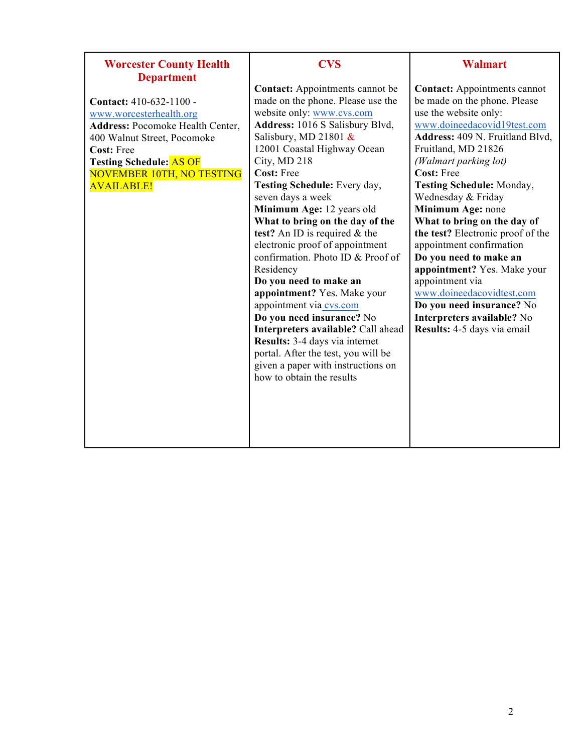| <b>Worcester County Health</b>          | <b>CVS</b>                             | <b>Walmart</b>                      |
|-----------------------------------------|----------------------------------------|-------------------------------------|
| <b>Department</b>                       |                                        |                                     |
|                                         | <b>Contact:</b> Appointments cannot be | <b>Contact:</b> Appointments cannot |
| Contact: 410-632-1100 -                 | made on the phone. Please use the      | be made on the phone. Please        |
| www.worcesterhealth.org                 | website only: www.cvs.com              | use the website only:               |
| <b>Address: Pocomoke Health Center,</b> | Address: 1016 S Salisbury Blvd,        | www.doineedacovid19test.com         |
| 400 Walnut Street, Pocomoke             | Salisbury, MD 21801 $&$                | Address: 409 N. Fruitland Blvd,     |
| <b>Cost: Free</b>                       | 12001 Coastal Highway Ocean            | Fruitland, MD 21826                 |
| <b>Testing Schedule: AS OF</b>          | City, MD 218                           | (Walmart parking lot)               |
| <b>NOVEMBER 10TH, NO TESTING</b>        | <b>Cost: Free</b>                      | <b>Cost: Free</b>                   |
| <b>AVAILABLE!</b>                       | Testing Schedule: Every day,           | <b>Testing Schedule: Monday,</b>    |
|                                         | seven days a week                      | Wednesday & Friday                  |
|                                         | Minimum Age: 12 years old              | Minimum Age: none                   |
|                                         | What to bring on the day of the        | What to bring on the day of         |
|                                         | test? An ID is required $&$ the        | the test? Electronic proof of the   |
|                                         | electronic proof of appointment        | appointment confirmation            |
|                                         | confirmation. Photo ID & Proof of      | Do you need to make an              |
|                                         | Residency                              | appointment? Yes. Make your         |
|                                         | Do you need to make an                 | appointment via                     |
|                                         | appointment? Yes. Make your            | www.doineedacovidtest.com           |
|                                         | appointment via cvs.com                | Do you need insurance? No           |
|                                         | Do you need insurance? No              | Interpreters available? No          |
|                                         | Interpreters available? Call ahead     | Results: 4-5 days via email         |
|                                         | Results: 3-4 days via internet         |                                     |
|                                         | portal. After the test, you will be    |                                     |
|                                         | given a paper with instructions on     |                                     |
|                                         | how to obtain the results              |                                     |
|                                         |                                        |                                     |
|                                         |                                        |                                     |
|                                         |                                        |                                     |
|                                         |                                        |                                     |
|                                         |                                        |                                     |
|                                         |                                        |                                     |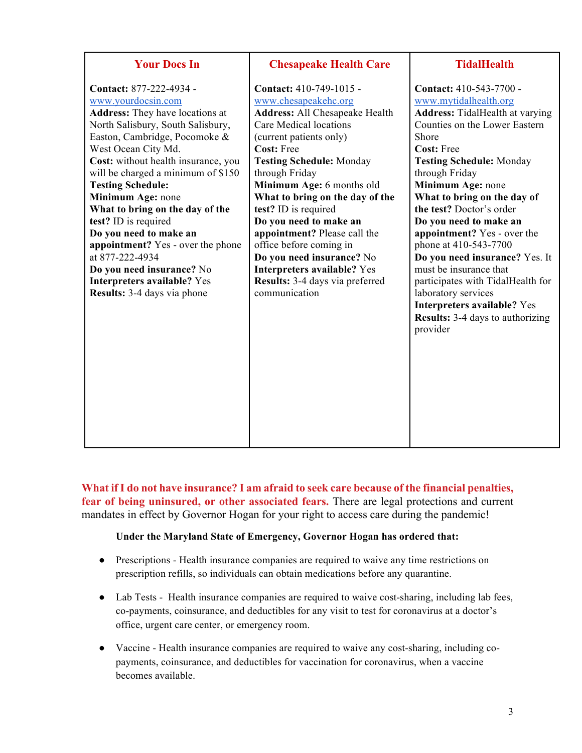| <b>Your Docs In</b>                                                                                                                                                                                                                                                                                                                                                                                                                                                                                                                                               | <b>Chesapeake Health Care</b>                                                                                                                                                                                                                                                                                                                                                                                                                                                                                               | <b>TidalHealth</b>                                                                                                                                                                                                                                                                                                                                                                                                                                                                                                                                                                                    |
|-------------------------------------------------------------------------------------------------------------------------------------------------------------------------------------------------------------------------------------------------------------------------------------------------------------------------------------------------------------------------------------------------------------------------------------------------------------------------------------------------------------------------------------------------------------------|-----------------------------------------------------------------------------------------------------------------------------------------------------------------------------------------------------------------------------------------------------------------------------------------------------------------------------------------------------------------------------------------------------------------------------------------------------------------------------------------------------------------------------|-------------------------------------------------------------------------------------------------------------------------------------------------------------------------------------------------------------------------------------------------------------------------------------------------------------------------------------------------------------------------------------------------------------------------------------------------------------------------------------------------------------------------------------------------------------------------------------------------------|
| Contact: 877-222-4934 -<br>www.yourdocsin.com<br><b>Address:</b> They have locations at<br>North Salisbury, South Salisbury,<br>Easton, Cambridge, Pocomoke &<br>West Ocean City Md.<br>Cost: without health insurance, you<br>will be charged a minimum of \$150<br><b>Testing Schedule:</b><br>Minimum Age: none<br>What to bring on the day of the<br>test? ID is required<br>Do you need to make an<br>appointment? Yes - over the phone<br>at 877-222-4934<br>Do you need insurance? No<br>Interpreters available? Yes<br><b>Results:</b> 3-4 days via phone | Contact: 410-749-1015 -<br>www.chesapeakehc.org<br><b>Address: All Chesapeake Health</b><br>Care Medical locations<br>(current patients only)<br><b>Cost: Free</b><br><b>Testing Schedule: Monday</b><br>through Friday<br>Minimum Age: 6 months old<br>What to bring on the day of the<br>test? ID is required<br>Do you need to make an<br>appointment? Please call the<br>office before coming in<br>Do you need insurance? No<br>Interpreters available? Yes<br><b>Results:</b> 3-4 days via preferred<br>communication | <b>Contact:</b> 410-543-7700 -<br>www.mytidalhealth.org<br><b>Address:</b> TidalHealth at varying<br>Counties on the Lower Eastern<br>Shore<br><b>Cost: Free</b><br><b>Testing Schedule: Monday</b><br>through Friday<br>Minimum Age: none<br>What to bring on the day of<br>the test? Doctor's order<br>Do you need to make an<br>appointment? Yes - over the<br>phone at 410-543-7700<br>Do you need insurance? Yes. It<br>must be insurance that<br>participates with TidalHealth for<br>laboratory services<br>Interpreters available? Yes<br><b>Results:</b> 3-4 days to authorizing<br>provider |

**What if I do not have insurance? I am afraid to seek care because of the financial penalties, fear of being uninsured, or other associated fears.** There are legal protections and current mandates in effect by Governor Hogan for your right to access care during the pandemic!

## **Under the Maryland State of Emergency, Governor Hogan has ordered that:**

- Prescriptions Health insurance companies are required to waive any time restrictions on prescription refills, so individuals can obtain medications before any quarantine.
- Lab Tests Health insurance companies are required to waive cost-sharing, including lab fees, co-payments, coinsurance, and deductibles for any visit to test for coronavirus at a doctor's office, urgent care center, or emergency room.
- Vaccine Health insurance companies are required to waive any cost-sharing, including copayments, coinsurance, and deductibles for vaccination for coronavirus, when a vaccine becomes available.